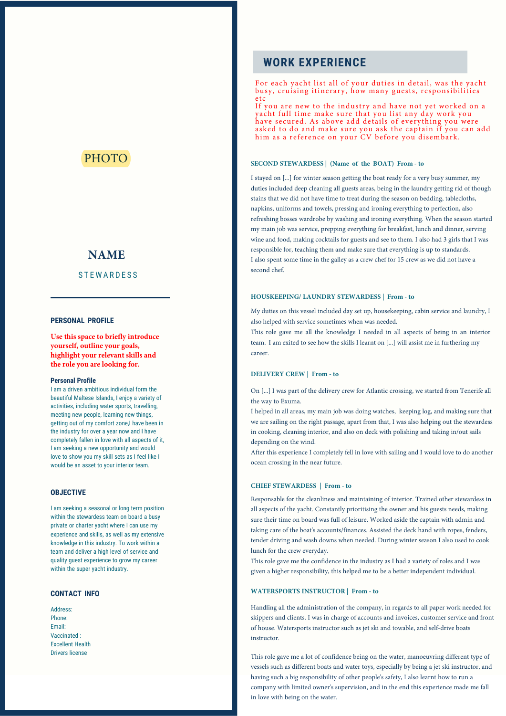## PHOTO

# **NAME**

### **STEWARDESS**

### **PERSONAL PROFILE**

**Use this space to briefly introduce yourself, outline your goals, highlight your relevant skills and the role you are looking for.**

#### **Personal Profile**

I am a driven ambitious individual form the beautiful Maltese Islands, I enjoy a variety of activities, including water sports, travelling, meeting new people, learning new things, getting out of my comfort zone,I have been in the industry for over a year now and I have completely fallen in love with all aspects of it, I am seeking a new opportunity and would love to show you my skill sets as I feel like I would be an asset to your interior team.

### **OBJECTIVE**

I am seeking a seasonal or long term position within the stewardess team on board a busy private or charter yacht where I can use my experience and skills, as well as my extensive knowledge in this industry. To work within a team and deliver a high level of service and quality guest experience to grow my career within the super yacht industry.

#### **CONTACT INFO**

Address: Phone: Email: Vaccinated : Excellent Health Drivers license

### **WORK EXPERIENCE**

For each yacht list all of your duties in detail, was the yacht busy, cruising itinerary, how many guests, responsibilities e t c

If you are new to the industry and have not yet worked on a yacht full time make sure that you list any day work you have secured. As above add details of everything you were asked to do and make sure you ask the captain if you can add him as a reference on your CV before you disembark.

### **SECOND STEWARDESS | (Name of the BOAT) From - to**

I stayed on [...] for winter season getting the boat ready for a very busy summer, my duties included deep cleaning all guests areas, being in the laundry getting rid of though stains that we did not have time to treat during the season on bedding, tablecloths, napkins, uniforms and towels, pressing and ironing everything to perfection, also refreshing bosses wardrobe by washing and ironing everything. When the season started my main job was service, prepping everything for breakfast, lunch and dinner, serving wine and food, making cocktails for guests and see to them. I also had 3 girls that I was responsible for, teaching them and make sure that everything is up to standards. I also spent some time in the galley as a crew chef for 15 crew as we did not have a second chef.

#### **HOUSKEEPING/ LAUNDRY STEWARDESS | From - to**

My duties on this vessel included day set up, housekeeping, cabin service and laundry, I also helped with service sometimes when was needed.

This role gave me all the knowledge I needed in all aspects of being in an interior team. I am exited to see how the skills I learnt on [...] will assist me in furthering my career.

#### **DELIVERY CREW | From - to**

On [...] I was part of the delivery crew for Atlantic crossing, we started from Tenerife all the way to Exuma.

I helped in all areas, my main job was doing watches, keeping log, and making sure that we are sailing on the right passage, apart from that, I was also helping out the stewardess in cooking, cleaning interior, and also on deck with polishing and taking in/out sails depending on the wind.

After this experience I completely fell in love with sailing and I would love to do another ocean crossing in the near future.

#### **CHIEF STEWARDESS | From - to**

Responsable for the cleanliness and maintaining of interior. Trained other stewardess in all aspects of the yacht. Constantly prioritising the owner and his guests needs, making sure their time on board was full of leisure. Worked aside the captain with admin and taking care of the boat's accounts/finances. Assisted the deck hand with ropes, fenders, tender driving and wash downs when needed. During winter season I also used to cook lunch for the crew everyday.

This role gave me the confidence in the industry as I had a variety of roles and I was given a higher responsibility, this helped me to be a better independent individual.

#### **WATERSPORTS INSTRUCTOR | From - to**

Handling all the administration of the company, in regards to all paper work needed for skippers and clients. I was in charge of accounts and invoices, customer service and front of house. Watersports instructor such as jet ski and towable, and self-drive boats instructor.

This role gave me a lot of confidence being on the water, manoeuvring different type of vessels such as different boats and water toys, especially by being a jet ski instructor, and having such a big responsibility of other people's safety, I also learnt how to run a company with limited owner's supervision, and in the end this experience made me fall in love with being on the water.